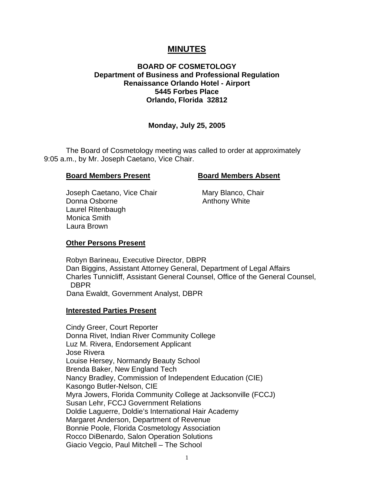# **MINUTES**

# **BOARD OF COSMETOLOGY Department of Business and Professional Regulation Renaissance Orlando Hotel - Airport 5445 Forbes Place Orlando, Florida 32812**

# **Monday, July 25, 2005**

The Board of Cosmetology meeting was called to order at approximately 9:05 a.m., by Mr. Joseph Caetano, Vice Chair.

#### **Board Members Present Board Members Absent**

Joseph Caetano, Vice Chair **Mary Blanco, Chair** Donna Osborne **Anthony White**  Laurel Ritenbaugh Monica Smith Laura Brown

# **Other Persons Present**

Robyn Barineau, Executive Director, DBPR Dan Biggins, Assistant Attorney General, Department of Legal Affairs Charles Tunnicliff, Assistant General Counsel, Office of the General Counsel, DBPR Dana Ewaldt, Government Analyst, DBPR

#### **Interested Parties Present**

Cindy Greer, Court Reporter Donna Rivet, Indian River Community College Luz M. Rivera, Endorsement Applicant Jose Rivera Louise Hersey, Normandy Beauty School Brenda Baker, New England Tech Nancy Bradley, Commission of Independent Education (CIE) Kasongo Butler-Nelson, CIE Myra Jowers, Florida Community College at Jacksonville (FCCJ) Susan Lehr, FCCJ Government Relations Doldie Laguerre, Doldie's International Hair Academy Margaret Anderson, Department of Revenue Bonnie Poole, Florida Cosmetology Association Rocco DiBenardo, Salon Operation Solutions Giacio Vegcio, Paul Mitchell – The School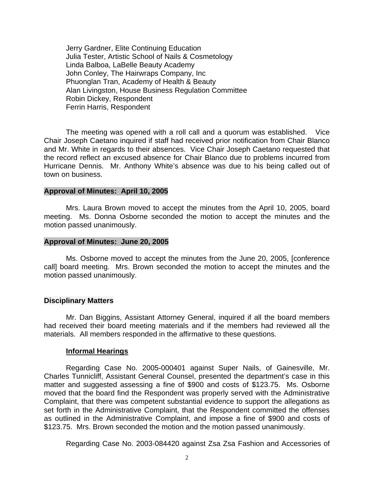Jerry Gardner, Elite Continuing Education Julia Tester, Artistic School of Nails & Cosmetology Linda Balboa, LaBelle Beauty Academy John Conley, The Hairwraps Company, Inc Phuonglan Tran, Academy of Health & Beauty Alan Livingston, House Business Regulation Committee Robin Dickey, Respondent Ferrin Harris, Respondent

The meeting was opened with a roll call and a quorum was established. Vice Chair Joseph Caetano inquired if staff had received prior notification from Chair Blanco and Mr. White in regards to their absences. Vice Chair Joseph Caetano requested that the record reflect an excused absence for Chair Blanco due to problems incurred from Hurricane Dennis. Mr. Anthony White's absence was due to his being called out of town on business.

#### **Approval of Minutes: April 10, 2005**

Mrs. Laura Brown moved to accept the minutes from the April 10, 2005, board meeting. Ms. Donna Osborne seconded the motion to accept the minutes and the motion passed unanimously.

#### **Approval of Minutes: June 20, 2005**

Ms. Osborne moved to accept the minutes from the June 20, 2005, [conference call] board meeting. Mrs. Brown seconded the motion to accept the minutes and the motion passed unanimously.

#### **Disciplinary Matters**

Mr. Dan Biggins, Assistant Attorney General, inquired if all the board members had received their board meeting materials and if the members had reviewed all the materials. All members responded in the affirmative to these questions.

#### **Informal Hearings**

Regarding Case No. 2005-000401 against Super Nails, of Gainesville, Mr. Charles Tunnicliff, Assistant General Counsel, presented the department's case in this matter and suggested assessing a fine of \$900 and costs of \$123.75. Ms. Osborne moved that the board find the Respondent was properly served with the Administrative Complaint, that there was competent substantial evidence to support the allegations as set forth in the Administrative Complaint, that the Respondent committed the offenses as outlined in the Administrative Complaint, and impose a fine of \$900 and costs of \$123.75. Mrs. Brown seconded the motion and the motion passed unanimously.

Regarding Case No. 2003-084420 against Zsa Zsa Fashion and Accessories of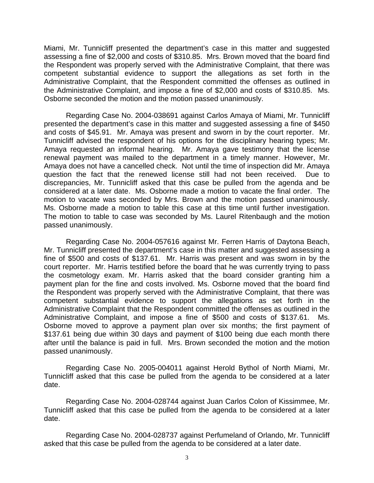Miami, Mr. Tunnicliff presented the department's case in this matter and suggested assessing a fine of \$2,000 and costs of \$310.85. Mrs. Brown moved that the board find the Respondent was properly served with the Administrative Complaint, that there was competent substantial evidence to support the allegations as set forth in the Administrative Complaint, that the Respondent committed the offenses as outlined in the Administrative Complaint, and impose a fine of \$2,000 and costs of \$310.85. Ms. Osborne seconded the motion and the motion passed unanimously.

Regarding Case No. 2004-038691 against Carlos Amaya of Miami, Mr. Tunnicliff presented the department's case in this matter and suggested assessing a fine of \$450 and costs of \$45.91. Mr. Amaya was present and sworn in by the court reporter. Mr. Tunnicliff advised the respondent of his options for the disciplinary hearing types; Mr. Amaya requested an informal hearing. Mr. Amaya gave testimony that the license renewal payment was mailed to the department in a timely manner. However, Mr. Amaya does not have a cancelled check. Not until the time of inspection did Mr. Amaya question the fact that the renewed license still had not been received. Due to discrepancies, Mr. Tunnicliff asked that this case be pulled from the agenda and be considered at a later date. Ms. Osborne made a motion to vacate the final order. The motion to vacate was seconded by Mrs. Brown and the motion passed unanimously. Ms. Osborne made a motion to table this case at this time until further investigation. The motion to table to case was seconded by Ms. Laurel Ritenbaugh and the motion passed unanimously.

Regarding Case No. 2004-057616 against Mr. Ferren Harris of Daytona Beach, Mr. Tunnicliff presented the department's case in this matter and suggested assessing a fine of \$500 and costs of \$137.61. Mr. Harris was present and was sworn in by the court reporter. Mr. Harris testified before the board that he was currently trying to pass the cosmetology exam. Mr. Harris asked that the board consider granting him a payment plan for the fine and costs involved. Ms. Osborne moved that the board find the Respondent was properly served with the Administrative Complaint, that there was competent substantial evidence to support the allegations as set forth in the Administrative Complaint that the Respondent committed the offenses as outlined in the Administrative Complaint, and impose a fine of \$500 and costs of \$137.61. Ms. Osborne moved to approve a payment plan over six months; the first payment of \$137.61 being due within 30 days and payment of \$100 being due each month there after until the balance is paid in full. Mrs. Brown seconded the motion and the motion passed unanimously.

Regarding Case No. 2005-004011 against Herold Bythol of North Miami, Mr. Tunnicliff asked that this case be pulled from the agenda to be considered at a later date.

Regarding Case No. 2004-028744 against Juan Carlos Colon of Kissimmee, Mr. Tunnicliff asked that this case be pulled from the agenda to be considered at a later date.

Regarding Case No. 2004-028737 against Perfumeland of Orlando, Mr. Tunnicliff asked that this case be pulled from the agenda to be considered at a later date.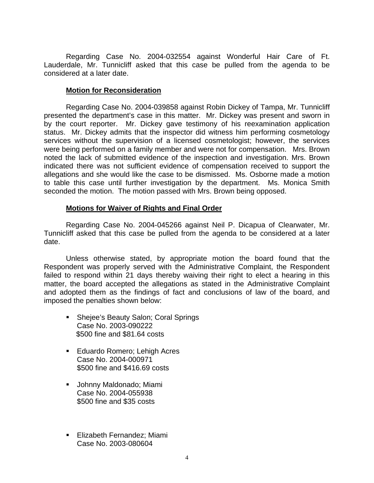Regarding Case No. 2004-032554 against Wonderful Hair Care of Ft. Lauderdale, Mr. Tunnicliff asked that this case be pulled from the agenda to be considered at a later date.

#### **Motion for Reconsideration**

Regarding Case No. 2004-039858 against Robin Dickey of Tampa, Mr. Tunnicliff presented the department's case in this matter. Mr. Dickey was present and sworn in by the court reporter. Mr. Dickey gave testimony of his reexamination application status. Mr. Dickey admits that the inspector did witness him performing cosmetology services without the supervision of a licensed cosmetologist; however, the services were being performed on a family member and were not for compensation. Mrs. Brown noted the lack of submitted evidence of the inspection and investigation. Mrs. Brown indicated there was not sufficient evidence of compensation received to support the allegations and she would like the case to be dismissed. Ms. Osborne made a motion to table this case until further investigation by the department. Ms. Monica Smith seconded the motion. The motion passed with Mrs. Brown being opposed.

# **Motions for Waiver of Rights and Final Order**

Regarding Case No. 2004-045266 against Neil P. Dicapua of Clearwater, Mr. Tunnicliff asked that this case be pulled from the agenda to be considered at a later date.

Unless otherwise stated, by appropriate motion the board found that the Respondent was properly served with the Administrative Complaint, the Respondent failed to respond within 21 days thereby waiving their right to elect a hearing in this matter, the board accepted the allegations as stated in the Administrative Complaint and adopted them as the findings of fact and conclusions of law of the board, and imposed the penalties shown below:

- **Shejee's Beauty Salon; Coral Springs** Case No. 2003-090222 \$500 fine and \$81.64 costs
- **Eduardo Romero; Lehigh Acres** Case No. 2004-000971 \$500 fine and \$416.69 costs
- Johnny Maldonado; Miami Case No. 2004-055938 \$500 fine and \$35 costs
- **Elizabeth Fernandez; Miami** Case No. 2003-080604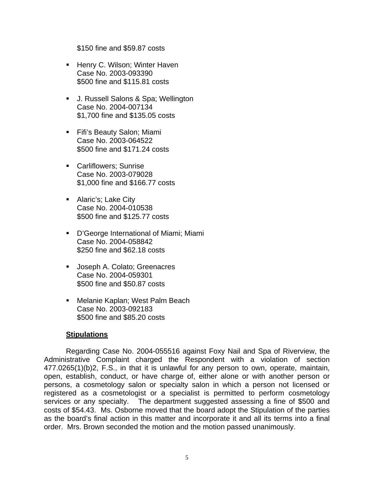\$150 fine and \$59.87 costs

- **Henry C. Wilson; Winter Haven** Case No. 2003-093390 \$500 fine and \$115.81 costs
- J. Russell Salons & Spa; Wellington Case No. 2004-007134 \$1,700 fine and \$135.05 costs
- **Fifi's Beauty Salon; Miami** Case No. 2003-064522 \$500 fine and \$171.24 costs
- **Carliflowers**; Sunrise Case No. 2003-079028 \$1,000 fine and \$166.77 costs
- **Alaric's; Lake City** Case No. 2004-010538 \$500 fine and \$125.77 costs
- D'George International of Miami; Miami Case No. 2004-058842 \$250 fine and \$62.18 costs
- **Joseph A. Colato; Greenacres** Case No. 2004-059301 \$500 fine and \$50.87 costs
- **Melanie Kaplan; West Palm Beach** Case No. 2003-092183 \$500 fine and \$85.20 costs

# **Stipulations**

Regarding Case No. 2004-055516 against Foxy Nail and Spa of Riverview, the Administrative Complaint charged the Respondent with a violation of section 477.0265(1)(b)2, F.S., in that it is unlawful for any person to own, operate, maintain, open, establish, conduct, or have charge of, either alone or with another person or persons, a cosmetology salon or specialty salon in which a person not licensed or registered as a cosmetologist or a specialist is permitted to perform cosmetology services or any specialty. The department suggested assessing a fine of \$500 and costs of \$54.43. Ms. Osborne moved that the board adopt the Stipulation of the parties as the board's final action in this matter and incorporate it and all its terms into a final order. Mrs. Brown seconded the motion and the motion passed unanimously.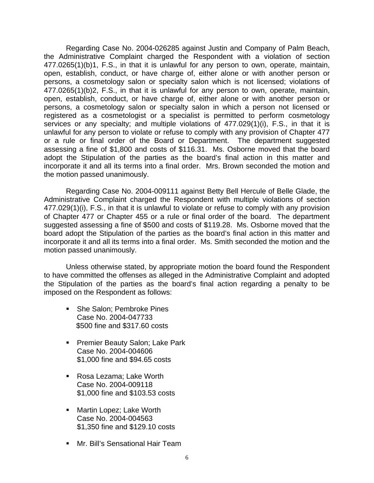Regarding Case No. 2004-026285 against Justin and Company of Palm Beach, the Administrative Complaint charged the Respondent with a violation of section 477.0265(1)(b)1, F.S., in that it is unlawful for any person to own, operate, maintain, open, establish, conduct, or have charge of, either alone or with another person or persons, a cosmetology salon or specialty salon which is not licensed; violations of 477.0265(1)(b)2, F.S., in that it is unlawful for any person to own, operate, maintain, open, establish, conduct, or have charge of, either alone or with another person or persons, a cosmetology salon or specialty salon in which a person not licensed or registered as a cosmetologist or a specialist is permitted to perform cosmetology services or any specialty; and multiple violations of 477.029(1)(i), F.S., in that it is unlawful for any person to violate or refuse to comply with any provision of Chapter 477 or a rule or final order of the Board or Department. The department suggested assessing a fine of \$1,800 and costs of \$116.31. Ms. Osborne moved that the board adopt the Stipulation of the parties as the board's final action in this matter and incorporate it and all its terms into a final order. Mrs. Brown seconded the motion and the motion passed unanimously.

Regarding Case No. 2004-009111 against Betty Bell Hercule of Belle Glade, the Administrative Complaint charged the Respondent with multiple violations of section 477.029(1)(i), F.S., in that it is unlawful to violate or refuse to comply with any provision of Chapter 477 or Chapter 455 or a rule or final order of the board. The department suggested assessing a fine of \$500 and costs of \$119.28. Ms. Osborne moved that the board adopt the Stipulation of the parties as the board's final action in this matter and incorporate it and all its terms into a final order. Ms. Smith seconded the motion and the motion passed unanimously.

Unless otherwise stated, by appropriate motion the board found the Respondent to have committed the offenses as alleged in the Administrative Complaint and adopted the Stipulation of the parties as the board's final action regarding a penalty to be imposed on the Respondent as follows:

- She Salon; Pembroke Pines Case No. 2004-047733 \$500 fine and \$317.60 costs
- **Premier Beauty Salon; Lake Park** Case No. 2004-004606 \$1,000 fine and \$94.65 costs
- Rosa Lezama; Lake Worth Case No. 2004-009118 \$1,000 fine and \$103.53 costs
- **Martin Lopez; Lake Worth** Case No. 2004-004563 \$1,350 fine and \$129.10 costs
- **Mr. Bill's Sensational Hair Team**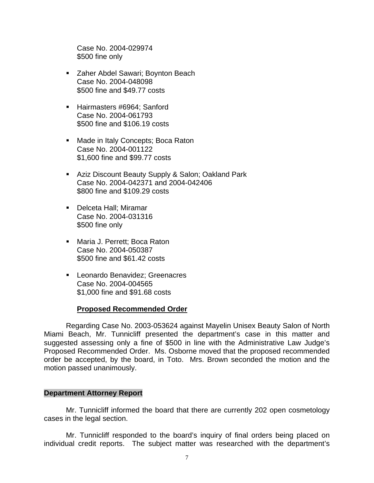Case No. 2004-029974 \$500 fine only

- **EXA** Zaher Abdel Sawari; Boynton Beach Case No. 2004-048098 \$500 fine and \$49.77 costs
- Hairmasters #6964; Sanford Case No. 2004-061793 \$500 fine and \$106.19 costs
- **Made in Italy Concepts; Boca Raton** Case No. 2004-001122 \$1,600 fine and \$99.77 costs
- **Aziz Discount Beauty Supply & Salon; Oakland Park** Case No. 2004-042371 and 2004-042406 \$800 fine and \$109.29 costs
- **Delceta Hall**; Miramar Case No. 2004-031316 \$500 fine only
- Maria J. Perrett: Boca Raton Case No. 2004-050387 \$500 fine and \$61.42 costs
- **Leonardo Benavidez; Greenacres** Case No. 2004-004565 \$1,000 fine and \$91.68 costs

# **Proposed Recommended Order**

Regarding Case No. 2003-053624 against Mayelin Unisex Beauty Salon of North Miami Beach, Mr. Tunnicliff presented the department's case in this matter and suggested assessing only a fine of \$500 in line with the Administrative Law Judge's Proposed Recommended Order. Ms. Osborne moved that the proposed recommended order be accepted, by the board, in Toto. Mrs. Brown seconded the motion and the motion passed unanimously.

# **Department Attorney Report**

Mr. Tunnicliff informed the board that there are currently 202 open cosmetology cases in the legal section.

Mr. Tunnicliff responded to the board's inquiry of final orders being placed on individual credit reports. The subject matter was researched with the department's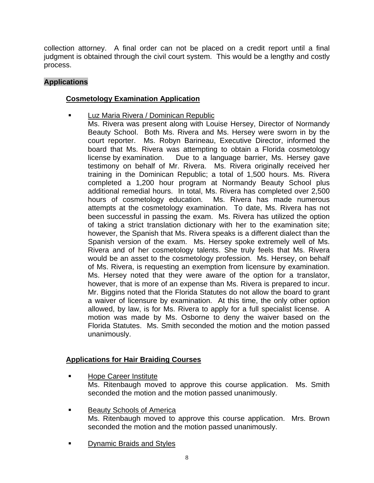collection attorney. A final order can not be placed on a credit report until a final judgment is obtained through the civil court system. This would be a lengthy and costly process.

# **Applications**

# **Cosmetology Examination Application**

- Luz Maria Rivera / Dominican Republic
	- Ms. Rivera was present along with Louise Hersey, Director of Normandy Beauty School. Both Ms. Rivera and Ms. Hersey were sworn in by the court reporter. Ms. Robyn Barineau, Executive Director, informed the board that Ms. Rivera was attempting to obtain a Florida cosmetology license by examination. Due to a language barrier, Ms. Hersey gave testimony on behalf of Mr. Rivera. Ms. Rivera originally received her training in the Dominican Republic; a total of 1,500 hours. Ms. Rivera completed a 1,200 hour program at Normandy Beauty School plus additional remedial hours. In total, Ms. Rivera has completed over 2,500 hours of cosmetology education. Ms. Rivera has made numerous attempts at the cosmetology examination. To date, Ms. Rivera has not been successful in passing the exam. Ms. Rivera has utilized the option of taking a strict translation dictionary with her to the examination site; however, the Spanish that Ms. Rivera speaks is a different dialect than the Spanish version of the exam. Ms. Hersey spoke extremely well of Ms. Rivera and of her cosmetology talents. She truly feels that Ms. Rivera would be an asset to the cosmetology profession. Ms. Hersey, on behalf of Ms. Rivera, is requesting an exemption from licensure by examination. Ms. Hersey noted that they were aware of the option for a translator, however, that is more of an expense than Ms. Rivera is prepared to incur. Mr. Biggins noted that the Florida Statutes do not allow the board to grant a waiver of licensure by examination. At this time, the only other option allowed, by law, is for Ms. Rivera to apply for a full specialist license. A motion was made by Ms. Osborne to deny the waiver based on the Florida Statutes. Ms. Smith seconded the motion and the motion passed unanimously.

# **Applications for Hair Braiding Courses**

- Hope Career Institute Ms. Ritenbaugh moved to approve this course application. Ms. Smith seconded the motion and the motion passed unanimously.
- Beauty Schools of America Ms. Ritenbaugh moved to approve this course application. Mrs. Brown seconded the motion and the motion passed unanimously.
- Dynamic Braids and Styles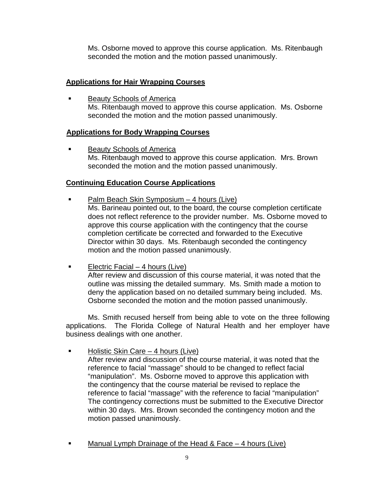Ms. Osborne moved to approve this course application. Ms. Ritenbaugh seconded the motion and the motion passed unanimously.

# **Applications for Hair Wrapping Courses**

 Beauty Schools of America Ms. Ritenbaugh moved to approve this course application. Ms. Osborne seconded the motion and the motion passed unanimously.

# **Applications for Body Wrapping Courses**

 Beauty Schools of America Ms. Ritenbaugh moved to approve this course application. Mrs. Brown seconded the motion and the motion passed unanimously.

# **Continuing Education Course Applications**

- Palm Beach Skin Symposium 4 hours (Live) Ms. Barineau pointed out, to the board, the course completion certificate does not reflect reference to the provider number. Ms. Osborne moved to approve this course application with the contingency that the course completion certificate be corrected and forwarded to the Executive Director within 30 days. Ms. Ritenbaugh seconded the contingency motion and the motion passed unanimously.
- Electric Facial 4 hours (Live) After review and discussion of this course material, it was noted that the outline was missing the detailed summary. Ms. Smith made a motion to deny the application based on no detailed summary being included. Ms. Osborne seconded the motion and the motion passed unanimously.

Ms. Smith recused herself from being able to vote on the three following applications. The Florida College of Natural Health and her employer have business dealings with one another.

- Holistic Skin Care 4 hours (Live) After review and discussion of the course material, it was noted that the reference to facial "massage" should to be changed to reflect facial "manipulation". Ms. Osborne moved to approve this application with the contingency that the course material be revised to replace the reference to facial "massage" with the reference to facial "manipulation" The contingency corrections must be submitted to the Executive Director within 30 days. Mrs. Brown seconded the contingency motion and the motion passed unanimously.
- Manual Lymph Drainage of the Head & Face 4 hours (Live)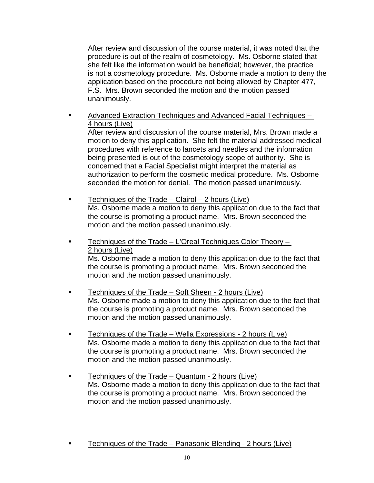After review and discussion of the course material, it was noted that the procedure is out of the realm of cosmetology. Ms. Osborne stated that she felt like the information would be beneficial; however, the practice is not a cosmetology procedure. Ms. Osborne made a motion to deny the application based on the procedure not being allowed by Chapter 477, F.S. Mrs. Brown seconded the motion and the motion passed unanimously.

 Advanced Extraction Techniques and Advanced Facial Techniques – 4 hours (Live)

After review and discussion of the course material, Mrs. Brown made a motion to deny this application. She felt the material addressed medical procedures with reference to lancets and needles and the information being presented is out of the cosmetology scope of authority. She is concerned that a Facial Specialist might interpret the material as authorization to perform the cosmetic medical procedure. Ms. Osborne seconded the motion for denial. The motion passed unanimously.

- **Techniques of the Trade Clairol 2 hours (Live)** Ms. Osborne made a motion to deny this application due to the fact that the course is promoting a product name. Mrs. Brown seconded the motion and the motion passed unanimously.
- Techniques of the Trade L'Oreal Techniques Color Theory 2 hours (Live) Ms. Osborne made a motion to deny this application due to the fact that the course is promoting a product name. Mrs. Brown seconded the motion and the motion passed unanimously.
- **Techniques of the Trade Soft Sheen 2 hours (Live)** Ms. Osborne made a motion to deny this application due to the fact that the course is promoting a product name. Mrs. Brown seconded the motion and the motion passed unanimously.
- **Techniques of the Trade Wella Expressions 2 hours (Live)** Ms. Osborne made a motion to deny this application due to the fact that the course is promoting a product name. Mrs. Brown seconded the motion and the motion passed unanimously.
- Techniques of the Trade Quantum 2 hours (Live) Ms. Osborne made a motion to deny this application due to the fact that the course is promoting a product name. Mrs. Brown seconded the motion and the motion passed unanimously.
- Techniques of the Trade Panasonic Blending 2 hours (Live)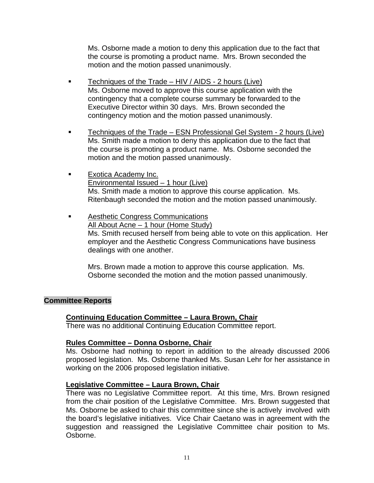Ms. Osborne made a motion to deny this application due to the fact that the course is promoting a product name. Mrs. Brown seconded the motion and the motion passed unanimously.

- Techniques of the Trade  $HIV/AIDS 2$  hours (Live) Ms. Osborne moved to approve this course application with the contingency that a complete course summary be forwarded to the Executive Director within 30 days. Mrs. Brown seconded the contingency motion and the motion passed unanimously.
- Techniques of the Trade ESN Professional Gel System 2 hours (Live) Ms. Smith made a motion to deny this application due to the fact that the course is promoting a product name. Ms. Osborne seconded the motion and the motion passed unanimously.
- **Exotica Academy Inc.**  Environmental Issued – 1 hour (Live) Ms. Smith made a motion to approve this course application. Ms. Ritenbaugh seconded the motion and the motion passed unanimously.
- Aesthetic Congress Communications All About Acne – 1 hour (Home Study) Ms. Smith recused herself from being able to vote on this application. Her employer and the Aesthetic Congress Communications have business dealings with one another.

Mrs. Brown made a motion to approve this course application. Ms. Osborne seconded the motion and the motion passed unanimously.

# **Committee Reports**

# **Continuing Education Committee – Laura Brown, Chair**

There was no additional Continuing Education Committee report.

# **Rules Committee – Donna Osborne, Chair**

Ms. Osborne had nothing to report in addition to the already discussed 2006 proposed legislation. Ms. Osborne thanked Ms. Susan Lehr for her assistance in working on the 2006 proposed legislation initiative.

# **Legislative Committee – Laura Brown, Chair**

There was no Legislative Committee report. At this time, Mrs. Brown resigned from the chair position of the Legislative Committee. Mrs. Brown suggested that Ms. Osborne be asked to chair this committee since she is actively involved with the board's legislative initiatives. Vice Chair Caetano was in agreement with the suggestion and reassigned the Legislative Committee chair position to Ms. Osborne.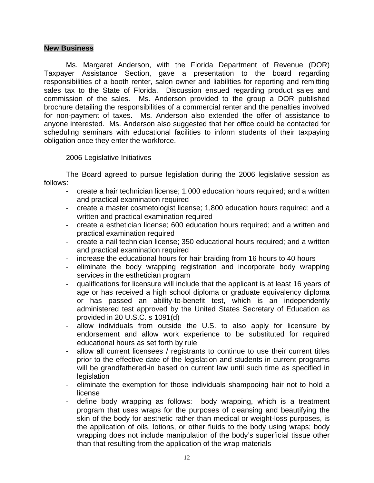#### **New Business**

Ms. Margaret Anderson, with the Florida Department of Revenue (DOR) Taxpayer Assistance Section, gave a presentation to the board regarding responsibilities of a booth renter, salon owner and liabilities for reporting and remitting sales tax to the State of Florida. Discussion ensued regarding product sales and commission of the sales. Ms. Anderson provided to the group a DOR published brochure detailing the responsibilities of a commercial renter and the penalties involved for non-payment of taxes. Ms. Anderson also extended the offer of assistance to anyone interested. Ms. Anderson also suggested that her office could be contacted for scheduling seminars with educational facilities to inform students of their taxpaying obligation once they enter the workforce.

#### 2006 Legislative Initiatives

The Board agreed to pursue legislation during the 2006 legislative session as follows:

- create a hair technician license; 1.000 education hours required; and a written and practical examination required
- create a master cosmetologist license; 1,800 education hours required; and a written and practical examination required
- create a esthetician license; 600 education hours required; and a written and practical examination required
- create a nail technician license; 350 educational hours required; and a written and practical examination required
- increase the educational hours for hair braiding from 16 hours to 40 hours
- eliminate the body wrapping registration and incorporate body wrapping services in the esthetician program
- qualifications for licensure will include that the applicant is at least 16 years of age or has received a high school diploma or graduate equivalency diploma or has passed an ability-to-benefit test, which is an independently administered test approved by the United States Secretary of Education as provided in 20 U.S.C. s 1091(d)
- allow individuals from outside the U.S. to also apply for licensure by endorsement and allow work experience to be substituted for required educational hours as set forth by rule
- allow all current licensees / registrants to continue to use their current titles prior to the effective date of the legislation and students in current programs will be grandfathered-in based on current law until such time as specified in **legislation**
- eliminate the exemption for those individuals shampooing hair not to hold a license
- define body wrapping as follows: body wrapping, which is a treatment program that uses wraps for the purposes of cleansing and beautifying the skin of the body for aesthetic rather than medical or weight-loss purposes, is the application of oils, lotions, or other fluids to the body using wraps; body wrapping does not include manipulation of the body's superficial tissue other than that resulting from the application of the wrap materials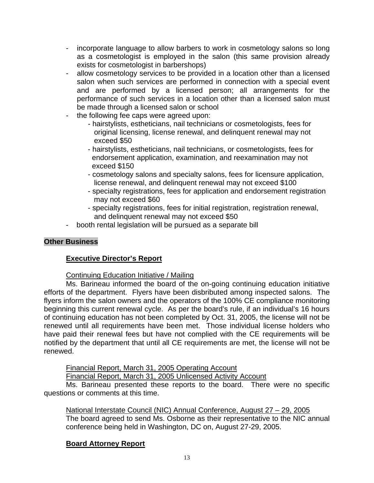- incorporate language to allow barbers to work in cosmetology salons so long as a cosmetologist is employed in the salon (this same provision already exists for cosmetologist in barbershops)
- allow cosmetology services to be provided in a location other than a licensed salon when such services are performed in connection with a special event and are performed by a licensed person; all arrangements for the performance of such services in a location other than a licensed salon must be made through a licensed salon or school
- the following fee caps were agreed upon:
	- hairstylists, estheticians, nail technicians or cosmetologists, fees for original licensing, license renewal, and delinquent renewal may not exceed \$50
	- hairstylists, estheticians, nail technicians, or cosmetologists, fees for endorsement application, examination, and reexamination may not exceed \$150
	- cosmetology salons and specialty salons, fees for licensure application, license renewal, and delinquent renewal may not exceed \$100
	- specialty registrations, fees for application and endorsement registration may not exceed \$60
	- specialty registrations, fees for initial registration, registration renewal, and delinquent renewal may not exceed \$50
- booth rental legislation will be pursued as a separate bill

# **Other Business**

# **Executive Director's Report**

# Continuing Education Initiative / Mailing

Ms. Barineau informed the board of the on-going continuing education initiative efforts of the department. Flyers have been disbributed among inspected salons. The flyers inform the salon owners and the operators of the 100% CE compliance monitoring beginning this current renewal cycle. As per the board's rule, if an individual's 16 hours of continuing education has not been completed by Oct. 31, 2005, the license will not be renewed until all requirements have been met. Those individual license holders who have paid their renewal fees but have not complied with the CE requirements will be notified by the department that until all CE requirements are met, the license will not be renewed.

# Financial Report, March 31, 2005 Operating Account

Financial Report, March 31, 2005 Unlicensed Activity Account

Ms. Barineau presented these reports to the board. There were no specific questions or comments at this time.

National Interstate Council (NIC) Annual Conference, August 27 – 29, 2005 The board agreed to send Ms. Osborne as their representative to the NIC annual conference being held in Washington, DC on, August 27-29, 2005.

# **Board Attorney Report**